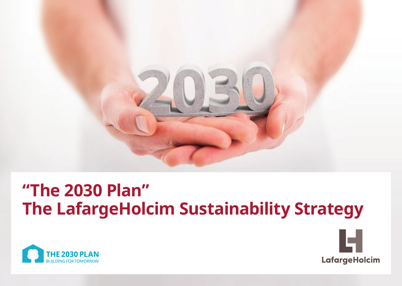

# **"The 2030 Plan" The LafargeHolcim Sustainability Strategy**



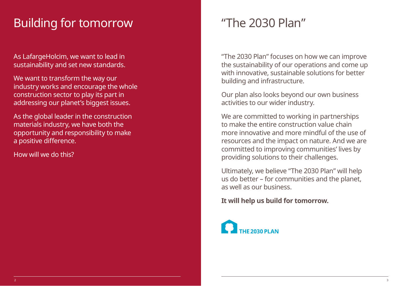### Building for tomorrow The 2030 Plan"

As LafargeHolcim, we want to lead in sustainability and set new standards.

We want to transform the way our industry works and encourage the whole construction sector to play its part in addressing our planet's biggest issues.

As the global leader in the construction materials industry, we have both the opportunity and responsibility to make a positive difference.

How will we do this?

"The 2030 Plan" focuses on how we can improve the sustainability of our operations and come up with innovative, sustainable solutions for better building and infrastructure.

Our plan also looks beyond our own business activities to our wider industry.

We are committed to working in partnerships to make the entire construction value chain more innovative and more mindful of the use of resources and the impact on nature. And we are committed to improving communities' lives by providing solutions to their challenges.

Ultimately, we believe "The 2030 Plan" will help us do better – for communities and the planet, as well as our business.

**It will help us build for tomorrow.** 

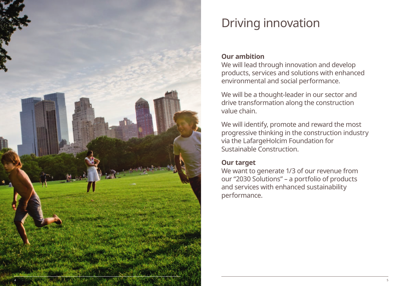

## Driving innovation

### **Our ambition**

We will lead through innovation and develop products, services and solutions with enhanced environmental and social performance.

We will be a thought-leader in our sector and drive transformation along the construction value chain.

We will identify, promote and reward the most progressive thinking in the construction industry via the LafargeHolcim Foundation for Sustainable Construction.

### **Our target**

We want to generate 1/3 of our revenue from our "2030 Solutions" – a portfolio of products and services with enhanced sustainability performance.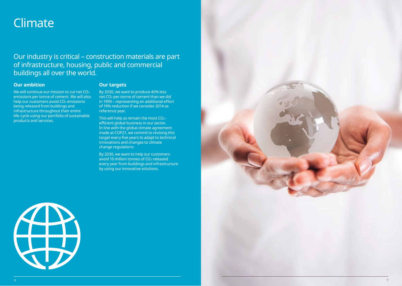### Climate

### Our industry is critical – construction materials are part of infrastructure, housing, public and commercial buildings all over the world.

#### **Our ambition**

We will continue our mission to cut net CO<sub>2</sub> emissions per tonne of cement. We will also help our customers avoid CO<sub>2</sub> emissions being released from buildings and infrastructure throughout their entire life-cycle using our portfolio of sustainable products and services.

#### **Our targets**

By 2030, we want to produce 40% less net CO2 per tonne of cement than we did in 1990 – representing an additional effort of 19% reduction if we consider 2014 as reference year.

This will help us remain the most CO2 efficient global business in our sector. In line with the global climate agreement made at COP21, we commit to revising this target every five years to adapt to technical innovations and changes to climate change regulations.

By 2030, we want to help our customers avoid 10 million tonnes of CO2 released every year from buildings and infrastructure by using our innovative solutions.



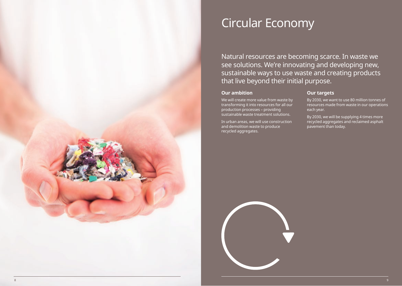### Circular Economy

Natural resources are becoming scarce. In waste we see solutions. We're innovating and developing new, sustainable ways to use waste and creating products that live beyond their initial purpose.

#### **Our ambition**

We will create more value from waste by transforming it into resources for all our

production processes – providing sustainable waste treatment solutions. In urban areas, we will use construction

and demolition waste to produce recycled aggregates.

#### **Our targets**

By 2030, we want to use 80 million tonnes of resources made from waste in our operations each year.

By 2030, we will be supplying 4 times more recycled aggregates and reclaimed asphalt pavement than today.

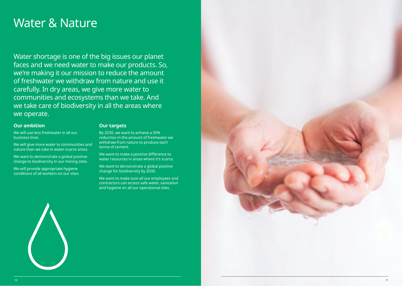### Water & Nature

Water shortage is one of the big issues our planet faces and we need water to make our products. So, we're making it our mission to reduce the amount of freshwater we withdraw from nature and use it carefully. In dry areas, we give more water to communities and ecosystems than we take. And we take care of biodiversity in all the areas where we operate.

### **Our ambition**

**Our targets**

We will use less freshwater in all our business lines.

We will give more water to communities and nature than we take in water-scarce areas.

We want to demonstrate a global positive change to biodiversity in our mining sites.

We will provide appropriate hygiene conditions of all workers on our sites.

### By 2030, we want to achieve a 30% reduction in the amount of freshwater we

withdraw from nature to produce each tonne of cement.

We want to make a positive difference to water resources in areas where it's scarce.

We want to demonstrate a global positive change for biodiversity by 2030.

We want to make sure all our employees and contractors can access safe water, sanitation and hygiene on all our operational sites.



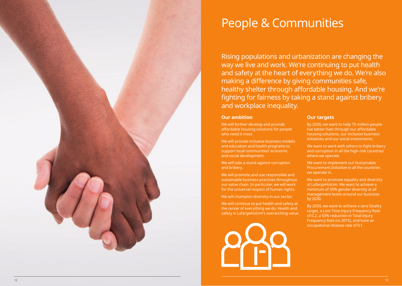

### People & Communities

Rising populations and urbanization are changing the way we live and work. We're continuing to put health and safety at the heart of everything we do. We're also making a difference by giving communities safe, healthy shelter through affordable housing. And we're fighting for fairness by taking a stand against bribery and workplace inequality.

#### **Our ambition**

We will further develop and provide affordable housing solutions for people who need it most.

We will provide inclusive business models and education and health programs to support local communities' economic and social development.

We will take a stand against corruption and bribery.

We will promote and use responsible and sustainable business practices throughout our value chain. In particular, we will work for the universal respect of human rights.

We will champion diversity in our sector.

We will continue to put health and safety at the center of everything we do. Health and safety is LafargeHolcim's overarching value.



#### **Our targets**

By 2030, we want to help 75 million people live better lives through our affordable housing solutions, our inclusive business initiatives and our social investments.

We want to work with others to fight bribery and corruption in all the high-risk countries where we operate.

We want to implement our Sustainable Procurement Initiative in all the countries we operate in.

We want to promote equality and diversity at LafargeHolcim. We want to achieve a minimum of 30% gender diversity at all management levels around our business by 2030.

By 2030, we want to achieve a zero fatality target, a Lost Time Injury Frequency Rate of 0.2, a 50% reduction in Total Injury Frequency Rate (vs 2015), and have an occupational disease rate of 0.1.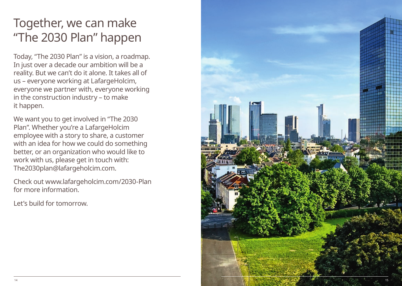### Together, we can make "The 2030 Plan" happen

Today, "The 2030 Plan" is a vision, a roadmap. In just over a decade our ambition will be a reality. But we can't do it alone. It takes all of us – everyone working at LafargeHolcim, everyone we partner with, everyone working in the construction industry – to make it happen.

We want you to get involved in "The 2030 Plan". Whether you're a LafargeHolcim employee with a story to share, a customer with an idea for how we could do something better, or an organization who would like to work with us, please get in touch with: The2030plan@lafargeholcim.com.

Check out www.lafargeholcim.com/2030-Plan for more information.

Let's build for tomorrow.